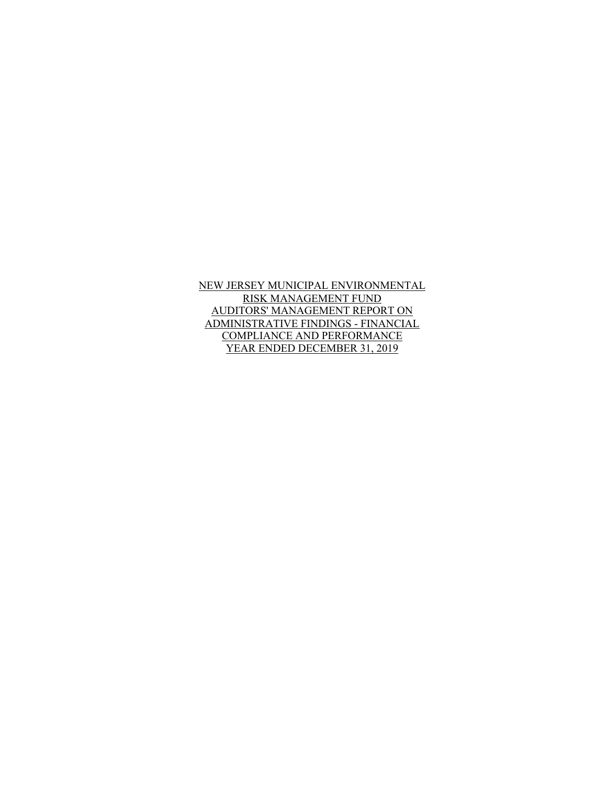NEW JERSEY MUNICIPAL ENVIRONMENTAL RISK MANAGEMENT FUND AUDITORS' MANAGEMENT REPORT ON ADMINISTRATIVE FINDINGS - FINANCIAL COMPLIANCE AND PERFORMANCE YEAR ENDED DECEMBER 31, 2019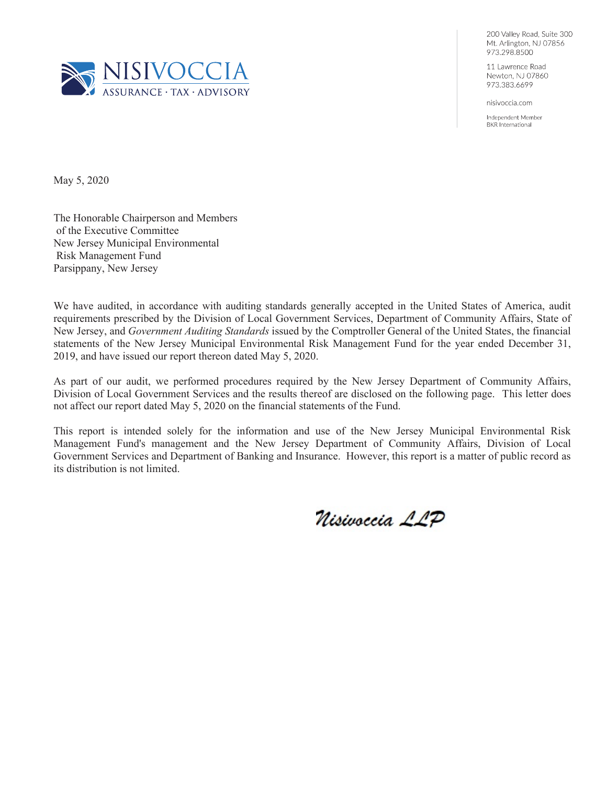

200 Valley Road, Suite 300 Mt. Arlington, NJ 07856 973.298.8500

11 Lawrence Road Newton, NJ 07860 973.383.6699

nisivoccia.com

Independent Member **BKR** International

May 5, 2020

The Honorable Chairperson and Members of the Executive Committee New Jersey Municipal Environmental Risk Management Fund Parsippany, New Jersey

We have audited, in accordance with auditing standards generally accepted in the United States of America, audit requirements prescribed by the Division of Local Government Services, Department of Community Affairs, State of New Jersey, and *Government Auditing Standards* issued by the Comptroller General of the United States, the financial statements of the New Jersey Municipal Environmental Risk Management Fund for the year ended December 31, 2019, and have issued our report thereon dated May 5, 2020.

As part of our audit, we performed procedures required by the New Jersey Department of Community Affairs, Division of Local Government Services and the results thereof are disclosed on the following page. This letter does not affect our report dated May 5, 2020 on the financial statements of the Fund.

This report is intended solely for the information and use of the New Jersey Municipal Environmental Risk Management Fund's management and the New Jersey Department of Community Affairs, Division of Local Government Services and Department of Banking and Insurance. However, this report is a matter of public record as its distribution is not limited.

Nisivoccia LLP